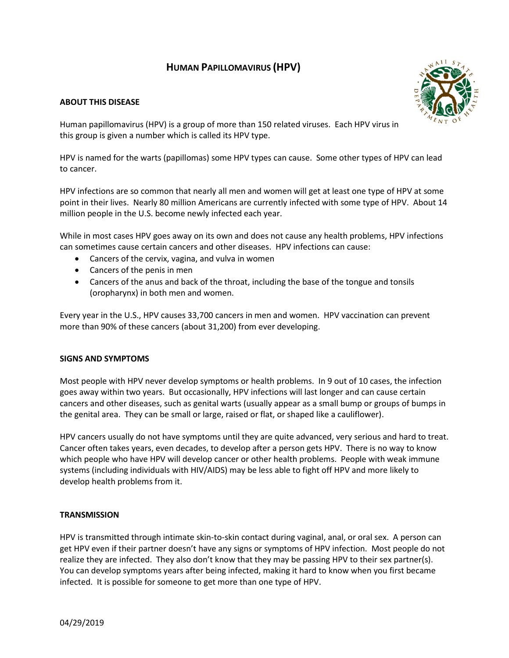# **HUMAN PAPILLOMAVIRUS (HPV)**

# **ABOUT THIS DISEASE**



Human papillomavirus (HPV) is a group of more than 150 related viruses. Each HPV virus in this group is given a number which is called its HPV type.

HPV is named for the warts (papillomas) some HPV types can cause. Some other types of HPV can lead to cancer.

HPV infections are so common that nearly all men and women will get at least one type of HPV at some point in their lives. Nearly 80 million Americans are currently infected with some type of HPV. About 14 million people in the U.S. become newly infected each year.

While in most cases HPV goes away on its own and does not cause any health problems, HPV infections can sometimes cause certain cancers and other diseases. HPV infections can cause:

- Cancers of the cervix, vagina, and vulva in women
- Cancers of the penis in men
- Cancers of the anus and back of the throat, including the base of the tongue and tonsils (oropharynx) in both men and women.

Every year in the U.S., HPV causes 33,700 cancers in men and women. HPV vaccination can prevent more than 90% of these cancers (about 31,200) from ever developing.

# **SIGNS AND SYMPTOMS**

Most people with HPV never develop symptoms or health problems. In 9 out of 10 cases, the infection goes away within two years. But occasionally, HPV infections will last longer and can cause certain cancers and other diseases, such as genital warts (usually appear as a small bump or groups of bumps in the genital area. They can be small or large, raised or flat, or shaped like a cauliflower).

HPV cancers usually do not have symptoms until they are quite advanced, very serious and hard to treat. Cancer often takes years, even decades, to develop after a person gets HPV. There is no way to know which people who have HPV will develop cancer or other health problems. People with weak immune systems (including individuals with HIV/AIDS) may be less able to fight off HPV and more likely to develop health problems from it.

# **TRANSMISSION**

HPV is transmitted through intimate skin-to-skin contact during vaginal, anal, or oral sex. A person can get HPV even if their partner doesn't have any signs or symptoms of HPV infection. Most people do not realize they are infected. They also don't know that they may be passing HPV to their sex partner(s). You can develop symptoms years after being infected, making it hard to know when you first became infected. It is possible for someone to get more than one type of HPV.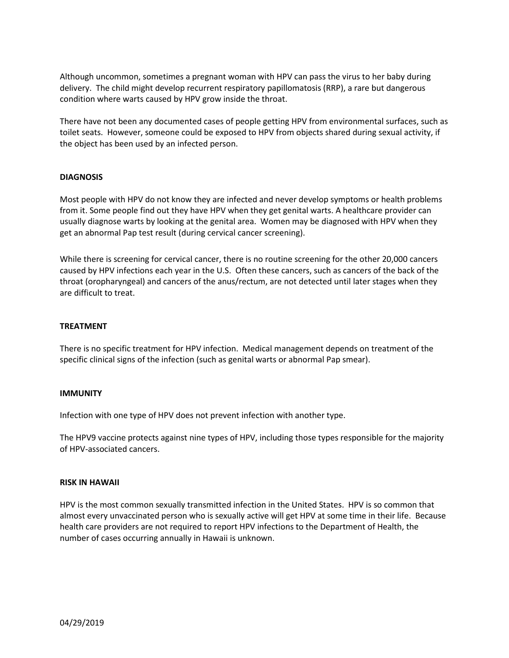Although uncommon, sometimes a pregnant woman with HPV can pass the virus to her baby during delivery. The child might develop recurrent respiratory papillomatosis (RRP), a rare but dangerous condition where warts caused by HPV grow inside the throat.

There have not been any documented cases of people getting HPV from environmental surfaces, such as toilet seats. However, someone could be exposed to HPV from objects shared during sexual activity, if the object has been used by an infected person.

## **DIAGNOSIS**

Most people with HPV do not know they are infected and never develop symptoms or health problems from it. Some people find out they have HPV when they get genital warts. A healthcare provider can usually diagnose warts by looking at the genital area. Women may be diagnosed with HPV when they get an abnormal Pap test result (during cervical cancer screening).

While there is screening for cervical cancer, there is no routine screening for the other 20,000 cancers caused by HPV infections each year in the U.S. Often these cancers, such as cancers of the back of the throat (oropharyngeal) and cancers of the anus/rectum, are not detected until later stages when they are difficult to treat.

#### **TREATMENT**

There is no specific treatment for HPV infection. Medical management depends on treatment of the specific clinical signs of the infection (such as genital warts or abnormal Pap smear).

#### **IMMUNITY**

Infection with one type of HPV does not prevent infection with another type.

The HPV9 vaccine protects against nine types of HPV, including those types responsible for the majority of HPV-associated cancers.

#### **RISK IN HAWAII**

HPV is the most common sexually transmitted infection in the United States. HPV is so common that almost every unvaccinated person who is sexually active will get HPV at some time in their life. Because health care providers are not required to report HPV infections to the Department of Health, the number of cases occurring annually in Hawaii is unknown.